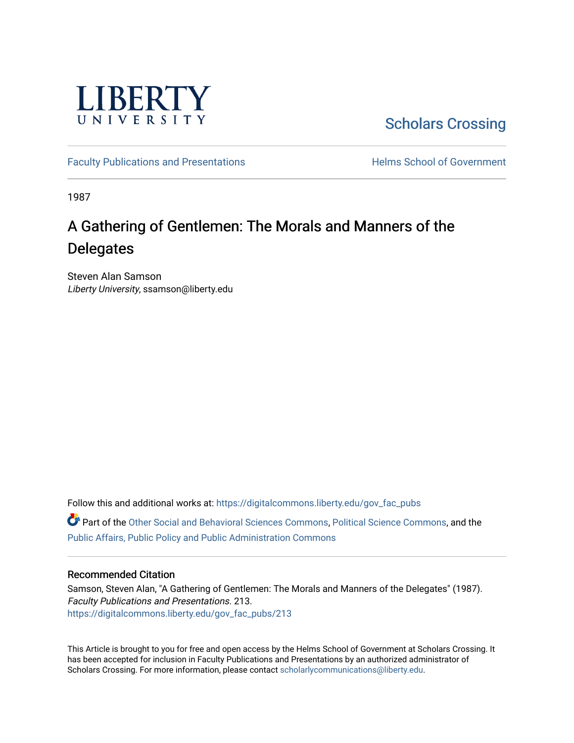

[Scholars Crossing](https://digitalcommons.liberty.edu/) 

[Faculty Publications and Presentations](https://digitalcommons.liberty.edu/gov_fac_pubs) **Exercise School of Government** 

1987

# A Gathering of Gentlemen: The Morals and Manners of the **Delegates**

Steven Alan Samson Liberty University, ssamson@liberty.edu

Follow this and additional works at: [https://digitalcommons.liberty.edu/gov\\_fac\\_pubs](https://digitalcommons.liberty.edu/gov_fac_pubs?utm_source=digitalcommons.liberty.edu%2Fgov_fac_pubs%2F213&utm_medium=PDF&utm_campaign=PDFCoverPages)

Part of the [Other Social and Behavioral Sciences Commons](http://network.bepress.com/hgg/discipline/437?utm_source=digitalcommons.liberty.edu%2Fgov_fac_pubs%2F213&utm_medium=PDF&utm_campaign=PDFCoverPages), [Political Science Commons](http://network.bepress.com/hgg/discipline/386?utm_source=digitalcommons.liberty.edu%2Fgov_fac_pubs%2F213&utm_medium=PDF&utm_campaign=PDFCoverPages), and the [Public Affairs, Public Policy and Public Administration Commons](http://network.bepress.com/hgg/discipline/393?utm_source=digitalcommons.liberty.edu%2Fgov_fac_pubs%2F213&utm_medium=PDF&utm_campaign=PDFCoverPages)

## Recommended Citation

Samson, Steven Alan, "A Gathering of Gentlemen: The Morals and Manners of the Delegates" (1987). Faculty Publications and Presentations. 213. [https://digitalcommons.liberty.edu/gov\\_fac\\_pubs/213](https://digitalcommons.liberty.edu/gov_fac_pubs/213?utm_source=digitalcommons.liberty.edu%2Fgov_fac_pubs%2F213&utm_medium=PDF&utm_campaign=PDFCoverPages)

This Article is brought to you for free and open access by the Helms School of Government at Scholars Crossing. It has been accepted for inclusion in Faculty Publications and Presentations by an authorized administrator of Scholars Crossing. For more information, please contact [scholarlycommunications@liberty.edu.](mailto:scholarlycommunications@liberty.edu)